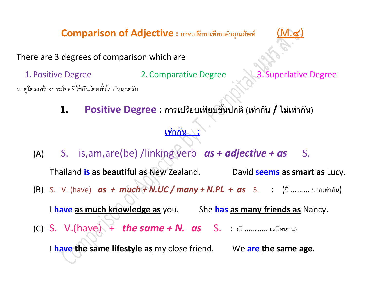$Comparison of Adjective:$  การเปรียบเทียบคำคุณศัพท์



There are 3 degrees of comparison which are

1. Positive Degree 2. Comparative Degree 3. Superlative Degree

มาดูโครงสร้างประโยคที่ใช้กันโดยทั่วไปกันนะครับ

**1. Positive Degree : การเปรียบเทียบขั้นปกติ (เท่ากัน / ไม่เท่ากัน)**

# **เท่ากัน :**

(A) S. is,am,are(be) /linking verb *as + adjective + as* S.

Thailand **is as beautiful as** New Zealand. David **seems as smart as** Lucy.

(B) S. V. (have) *as + much + N.UC / many + N.PL + as* S. : (มี ……… มากเท่ากัน)

I **have as much knowledge as** you. She **has as many friends as** Nancy. (C) S. V.(have) + *the same + N. as* S. : (มี ……….. เหมือนกัน) I **have the same lifestyle as** my close friend. We **are the same age**.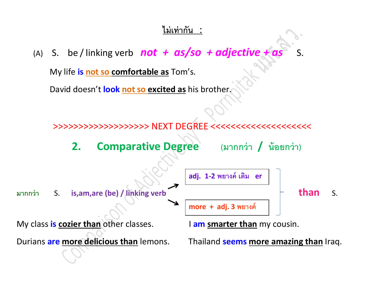#### **ไม่เท่ากัน** :

(A) S. be/linking verb  $\boldsymbol{not} + \boldsymbol{as}/\boldsymbol{so} + \boldsymbol{ad}$  *jective* +  $\boldsymbol{c}$ 

My life **is not so comfortable as** Tom's.

David doesn't **look not so excited as** his brother.



**2. Comparative Degree (มากกว่า / น้อยกว่า)**



Durians **are more delicious than** lemons. Thailand **seems more amazing than** Iraq.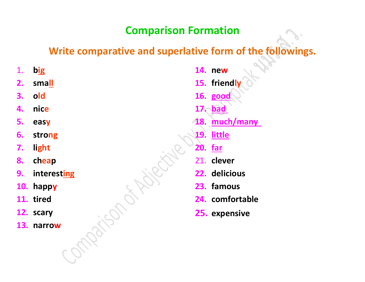# **Comparison Formation**

# **Write comparative and superlative form of the followings.**

**2. small**

- **3. old**
- **4. nice**
- **5. easy**
- **6. strong**
- **7. light**
- **8. cheap**
- **9. interesting**
- **10. happy**
- **11. tired**
- **12. scary**
- **13. narrow**

**14. new 15. friendly 16. good 17. bad 18. much/many 19. little 20. far** 21. **clever 22. delicious 23. famous 24. comfortable 25. expensive**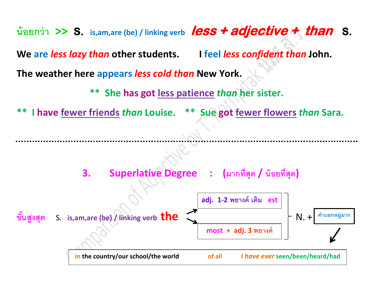